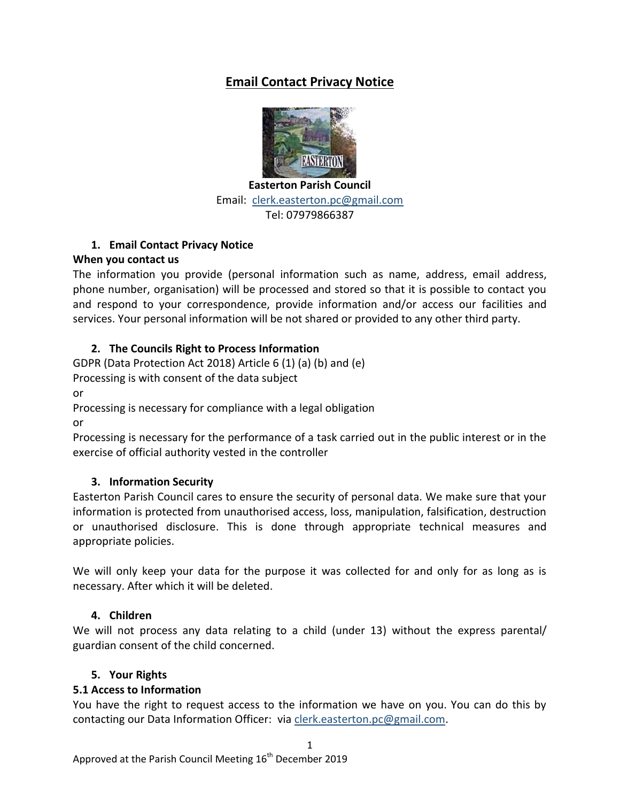# **Email Contact Privacy Notice**



**Easterton Parish Council** Email: [clerk.easterton.pc@gmail.com](mailto:clerk.easterton.pc@gmail.com) Tel: 07979866387

## **1. Email Contact Privacy Notice**

## **When you contact us**

The information you provide (personal information such as name, address, email address, phone number, organisation) will be processed and stored so that it is possible to contact you and respond to your correspondence, provide information and/or access our facilities and services. Your personal information will be not shared or provided to any other third party.

## **2. The Councils Right to Process Information**

GDPR (Data Protection Act 2018) Article 6 (1) (a) (b) and (e)

Processing is with consent of the data subject

or

Processing is necessary for compliance with a legal obligation

or

Processing is necessary for the performance of a task carried out in the public interest or in the exercise of official authority vested in the controller

## **3. Information Security**

Easterton Parish Council cares to ensure the security of personal data. We make sure that your information is protected from unauthorised access, loss, manipulation, falsification, destruction or unauthorised disclosure. This is done through appropriate technical measures and appropriate policies.

We will only keep your data for the purpose it was collected for and only for as long as is necessary. After which it will be deleted.

## **4. Children**

We will not process any data relating to a child (under 13) without the express parental/ guardian consent of the child concerned.

## **5. Your Rights**

## **5.1 Access to Information**

You have the right to request access to the information we have on you. You can do this by contacting our Data Information Officer: vi[a clerk.easterton.pc@gmail.com.](mailto:clerk.easterton.pc@gmail.com)

1